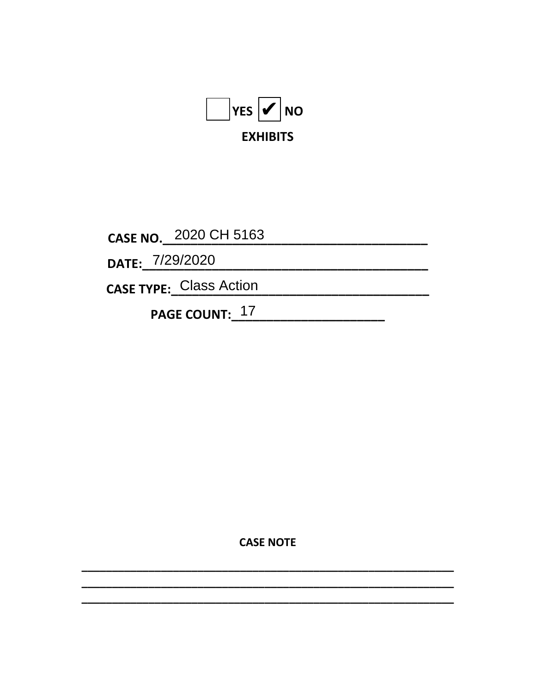

CASE NO. 2020 CH 5163

DATE: 7/29/2020

CASE TYPE: Class Action

PAGE COUNT: 17

**CASE NOTE**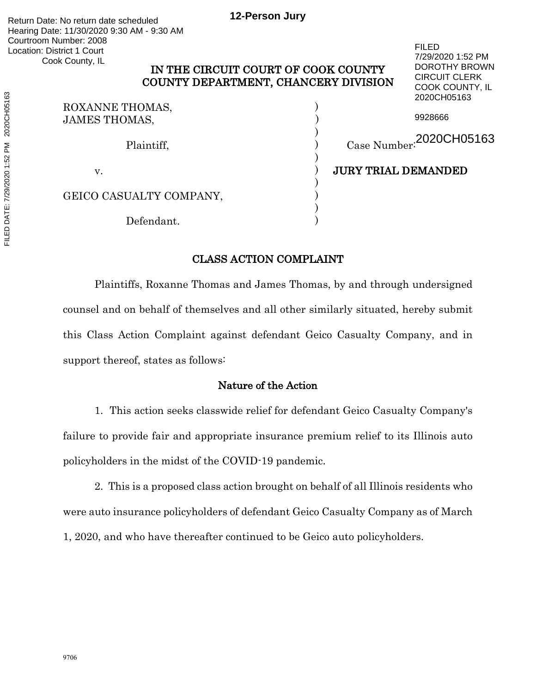# IN THE CIRCUIT COURT OF COOK COUNTY COUNTY DEPARTMENT, CHANCERY DIVISION

FILED

7/29/2020 1:52 PM DOROTHY BROWN CIRCUIT CLERK

| COUNTT DEI ARTMENT, CHANCERT DIVISION<br>COOK COUNTY, IL<br>2020CH05163 |                            |
|-------------------------------------------------------------------------|----------------------------|
| ROXANNE THOMAS,<br><b>JAMES THOMAS,</b>                                 | 9928666                    |
| Plaintiff,                                                              | Case Number: 2020CH05163   |
| v.                                                                      | <b>JURY TRIAL DEMANDED</b> |
| GEICO CASUALTY COMPANY,                                                 |                            |
| Defendant.                                                              |                            |

# CLASS ACTION COMPLAINT

Plaintiffs, Roxanne Thomas and James Thomas, by and through undersigned counsel and on behalf of themselves and all other similarly situated, hereby submit this Class Action Complaint against defendant Geico Casualty Company, and in support thereof, states as follows:

# Nature of the Action

1. This action seeks classwide relief for defendant Geico Casualty Company's failure to provide fair and appropriate insurance premium relief to its Illinois auto policyholders in the midst of the COVID-19 pandemic.

2. This is a proposed class action brought on behalf of all Illinois residents who were auto insurance policyholders of defendant Geico Casualty Company as of March 1, 2020, and who have thereafter continued to be Geico auto policyholders.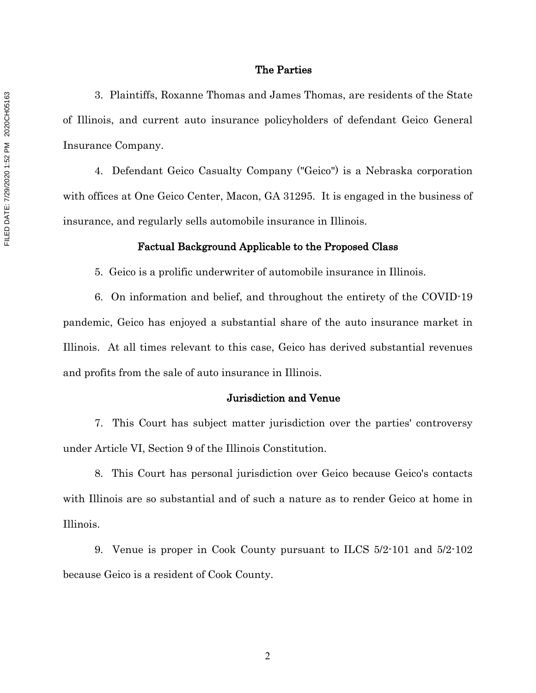#### The Parties

3. Plaintiffs, Roxanne Thomas and James Thomas, are residents of the State of Illinois, and current auto insurance policyholders of defendant Geico General Insurance Company.

4. Defendant Geico Casualty Company ("Geico") is a Nebraska corporation with offices at One Geico Center, Macon, GA 31295. It is engaged in the business of insurance, and regularly sells automobile insurance in Illinois.

### Factual Background Applicable to the Proposed Class

5. Geico is a prolific underwriter of automobile insurance in Illinois.

6. On information and belief, and throughout the entirety of the COVID-19 pandemic, Geico has enjoyed a substantial share of the auto insurance market in Illinois. At all times relevant to this case, Geico has derived substantial revenues and profits from the sale of auto insurance in Illinois.

### Jurisdiction and Venue

7. This Court has subject matter jurisdiction over the parties' controversy under Article VI, Section 9 of the Illinois Constitution.

8. This Court has personal jurisdiction over Geico because Geico's contacts with Illinois are so substantial and of such a nature as to render Geico at home in Illinois.

9. Venue is proper in Cook County pursuant to ILCS 5/2-101 and 5/2-102 because Geico is a resident of Cook County.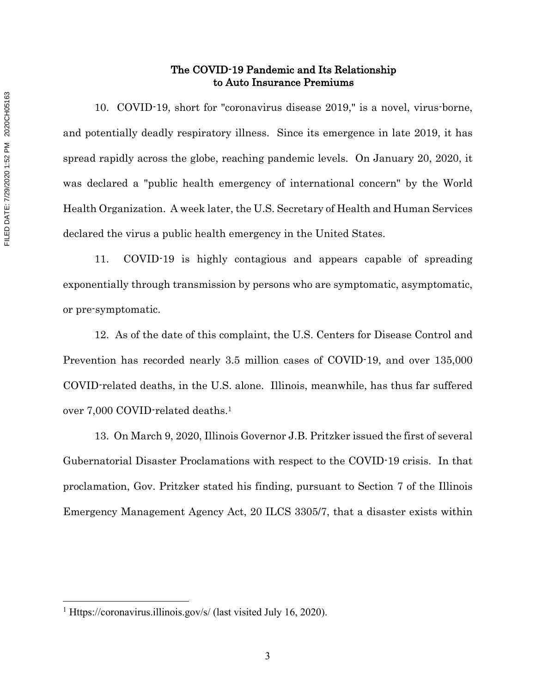# The COVID-19 Pandemic and Its Relationship to Auto Insurance Premiums

10. COVID-19, short for "coronavirus disease 2019," is a novel, virus-borne, and potentially deadly respiratory illness. Since its emergence in late 2019, it has spread rapidly across the globe, reaching pandemic levels. On January 20, 2020, it was declared a "public health emergency of international concern" by the World Health Organization. A week later, the U.S. Secretary of Health and Human Services declared the virus a public health emergency in the United States.

11. COVID-19 is highly contagious and appears capable of spreading exponentially through transmission by persons who are symptomatic, asymptomatic, or pre-symptomatic.

12. As of the date of this complaint, the U.S. Centers for Disease Control and Prevention has recorded nearly 3.5 million cases of COVID-19, and over 135,000 COVID-related deaths, in the U.S. alone. Illinois, meanwhile, has thus far suffered over 7,000 COVID-related deaths.1

13. On March 9, 2020, Illinois Governor J.B. Pritzker issued the first of several Gubernatorial Disaster Proclamations with respect to the COVID-19 crisis. In that proclamation, Gov. Pritzker stated his finding, pursuant to Section 7 of the Illinois Emergency Management Agency Act, 20 ILCS 3305/7, that a disaster exists within

<sup>1</sup> Https://coronavirus.illinois.gov/s/ (last visited July 16, 2020).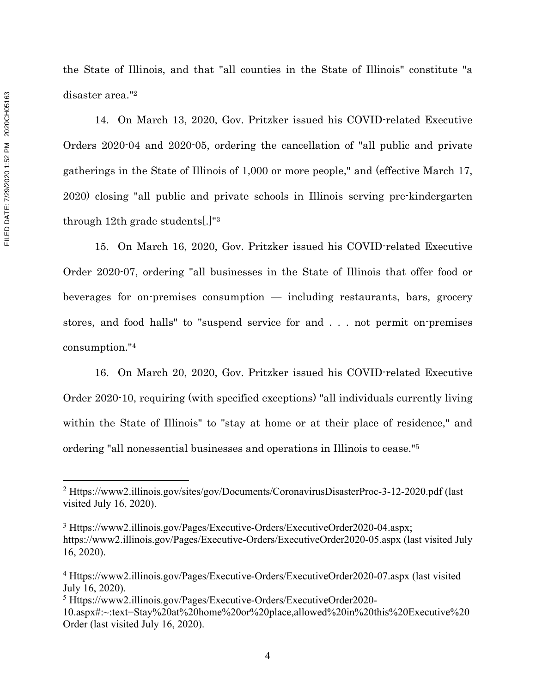disaster area."2

the State of Illinois, and that "all counties in the State of Illinois" constitute "a

14. On March 13, 2020, Gov. Pritzker issued his COVID-related Executive Orders 2020-04 and 2020-05, ordering the cancellation of "all public and private gatherings in the State of Illinois of 1,000 or more people," and (effective March 17, 2020) closing "all public and private schools in Illinois serving pre-kindergarten through 12th grade students[.]"3

15. On March 16, 2020, Gov. Pritzker issued his COVID-related Executive Order 2020-07, ordering "all businesses in the State of Illinois that offer food or beverages for on-premises consumption — including restaurants, bars, grocery stores, and food halls" to "suspend service for and . . . not permit on-premises consumption."4

16. On March 20, 2020, Gov. Pritzker issued his COVID-related Executive Order 2020-10, requiring (with specified exceptions) "all individuals currently living within the State of Illinois" to "stay at home or at their place of residence," and ordering "all nonessential businesses and operations in Illinois to cease."5

<sup>2</sup> Https://www2.illinois.gov/sites/gov/Documents/CoronavirusDisasterProc-3-12-2020.pdf (last visited July 16, 2020).

<sup>3</sup> Https://www2.illinois.gov/Pages/Executive-Orders/ExecutiveOrder2020-04.aspx; https://www2.illinois.gov/Pages/Executive-Orders/ExecutiveOrder2020-05.aspx (last visited July 16, 2020).

<sup>4</sup> Https://www2.illinois.gov/Pages/Executive-Orders/ExecutiveOrder2020-07.aspx (last visited July 16, 2020).

<sup>5</sup> Https://www2.illinois.gov/Pages/Executive-Orders/ExecutiveOrder2020-

<sup>10.</sup>aspx#:~:text=Stay%20at%20home%20or%20place,allowed%20in%20this%20Executive%20 Order (last visited July 16, 2020).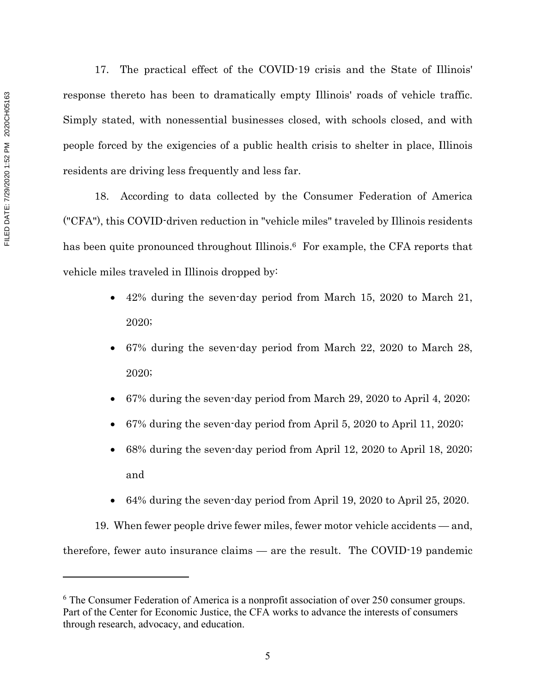17. The practical effect of the COVID-19 crisis and the State of Illinois' response thereto has been to dramatically empty Illinois' roads of vehicle traffic. Simply stated, with nonessential businesses closed, with schools closed, and with people forced by the exigencies of a public health crisis to shelter in place, Illinois residents are driving less frequently and less far.

18. According to data collected by the Consumer Federation of America ("CFA"), this COVID-driven reduction in "vehicle miles" traveled by Illinois residents has been quite pronounced throughout Illinois.<sup>6</sup> For example, the CFA reports that vehicle miles traveled in Illinois dropped by:

- 42% during the seven-day period from March 15, 2020 to March 21, 2020;
- 67% during the seven-day period from March 22, 2020 to March 28, 2020;
- 67% during the seven-day period from March 29, 2020 to April 4, 2020;
- 67% during the seven-day period from April 5, 2020 to April 11, 2020;
- 68% during the seven-day period from April 12, 2020 to April 18, 2020; and
- 64% during the seven-day period from April 19, 2020 to April 25, 2020.

19. When fewer people drive fewer miles, fewer motor vehicle accidents — and, therefore, fewer auto insurance claims — are the result. The COVID-19 pandemic

 $6$  The Consumer Federation of America is a nonprofit association of over 250 consumer groups. Part of the Center for Economic Justice, the CFA works to advance the interests of consumers through research, advocacy, and education.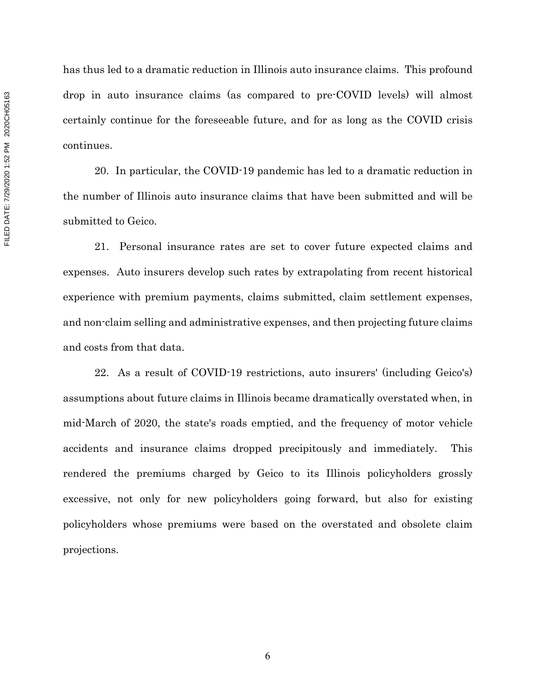has thus led to a dramatic reduction in Illinois auto insurance claims. This profound drop in auto insurance claims (as compared to pre-COVID levels) will almost certainly continue for the foreseeable future, and for as long as the COVID crisis continues.

20. In particular, the COVID-19 pandemic has led to a dramatic reduction in the number of Illinois auto insurance claims that have been submitted and will be submitted to Geico.

21. Personal insurance rates are set to cover future expected claims and expenses. Auto insurers develop such rates by extrapolating from recent historical experience with premium payments, claims submitted, claim settlement expenses, and non-claim selling and administrative expenses, and then projecting future claims and costs from that data.

22. As a result of COVID-19 restrictions, auto insurers' (including Geico's) assumptions about future claims in Illinois became dramatically overstated when, in mid-March of 2020, the state's roads emptied, and the frequency of motor vehicle accidents and insurance claims dropped precipitously and immediately. This rendered the premiums charged by Geico to its Illinois policyholders grossly excessive, not only for new policyholders going forward, but also for existing policyholders whose premiums were based on the overstated and obsolete claim projections.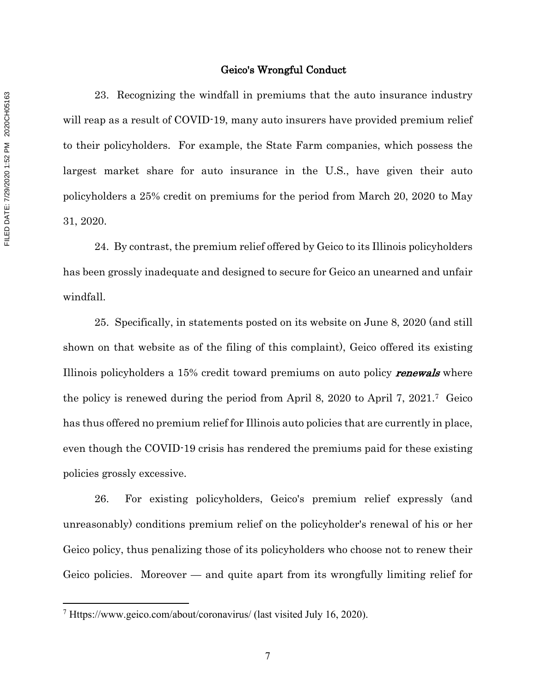#### Geico's Wrongful Conduct

23. Recognizing the windfall in premiums that the auto insurance industry will reap as a result of COVID-19, many auto insurers have provided premium relief to their policyholders. For example, the State Farm companies, which possess the largest market share for auto insurance in the U.S., have given their auto policyholders a 25% credit on premiums for the period from March 20, 2020 to May 31, 2020.

24. By contrast, the premium relief offered by Geico to its Illinois policyholders has been grossly inadequate and designed to secure for Geico an unearned and unfair windfall.

25. Specifically, in statements posted on its website on June 8, 2020 (and still shown on that website as of the filing of this complaint), Geico offered its existing Illinois policyholders a 15% credit toward premiums on auto policy **renewals** where the policy is renewed during the period from April 8, 2020 to April 7, 2021.7 Geico has thus offered no premium relief for Illinois auto policies that are currently in place, even though the COVID-19 crisis has rendered the premiums paid for these existing policies grossly excessive.

26. For existing policyholders, Geico's premium relief expressly (and unreasonably) conditions premium relief on the policyholder's renewal of his or her Geico policy, thus penalizing those of its policyholders who choose not to renew their Geico policies. Moreover — and quite apart from its wrongfully limiting relief for

<sup>7</sup> Https://www.geico.com/about/coronavirus/ (last visited July 16, 2020).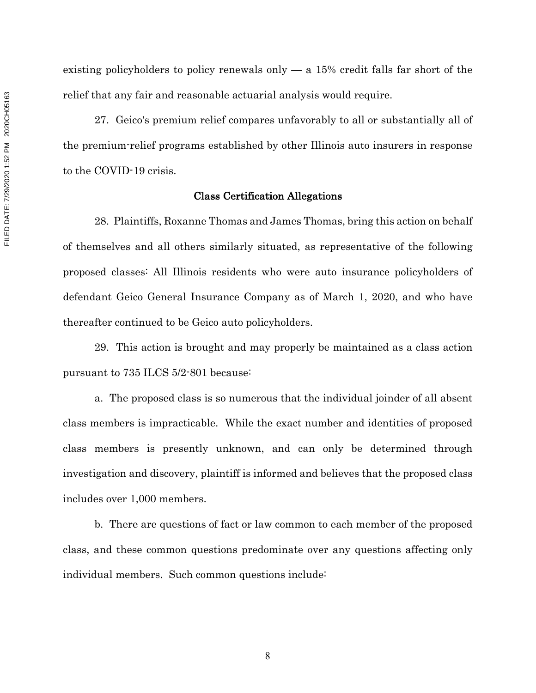existing policyholders to policy renewals only  $-$  a 15% credit falls far short of the relief that any fair and reasonable actuarial analysis would require.

27. Geico's premium relief compares unfavorably to all or substantially all of the premium-relief programs established by other Illinois auto insurers in response to the COVID-19 crisis.

#### Class Certification Allegations

28. Plaintiffs, Roxanne Thomas and James Thomas, bring this action on behalf of themselves and all others similarly situated, as representative of the following proposed classes: All Illinois residents who were auto insurance policyholders of defendant Geico General Insurance Company as of March 1, 2020, and who have thereafter continued to be Geico auto policyholders.

29. This action is brought and may properly be maintained as a class action pursuant to 735 ILCS 5/2-801 because:

a. The proposed class is so numerous that the individual joinder of all absent class members is impracticable. While the exact number and identities of proposed class members is presently unknown, and can only be determined through investigation and discovery, plaintiff is informed and believes that the proposed class includes over 1,000 members.

b. There are questions of fact or law common to each member of the proposed class, and these common questions predominate over any questions affecting only individual members. Such common questions include: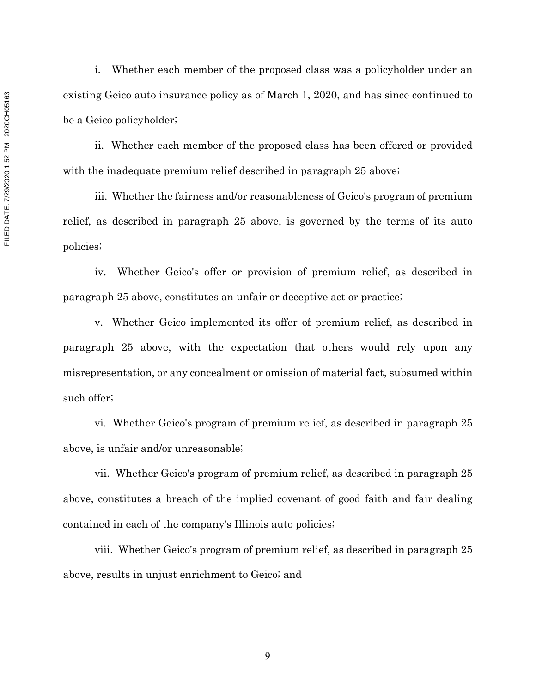i. Whether each member of the proposed class was a policyholder under an existing Geico auto insurance policy as of March 1, 2020, and has since continued to be a Geico policyholder;

ii. Whether each member of the proposed class has been offered or provided with the inadequate premium relief described in paragraph 25 above;

iii. Whether the fairness and/or reasonableness of Geico's program of premium relief, as described in paragraph 25 above, is governed by the terms of its auto policies;

iv. Whether Geico's offer or provision of premium relief, as described in paragraph 25 above, constitutes an unfair or deceptive act or practice;

v. Whether Geico implemented its offer of premium relief, as described in paragraph 25 above, with the expectation that others would rely upon any misrepresentation, or any concealment or omission of material fact, subsumed within such offer;

vi. Whether Geico's program of premium relief, as described in paragraph 25 above, is unfair and/or unreasonable;

vii. Whether Geico's program of premium relief, as described in paragraph 25 above, constitutes a breach of the implied covenant of good faith and fair dealing contained in each of the company's Illinois auto policies;

viii. Whether Geico's program of premium relief, as described in paragraph 25 above, results in unjust enrichment to Geico; and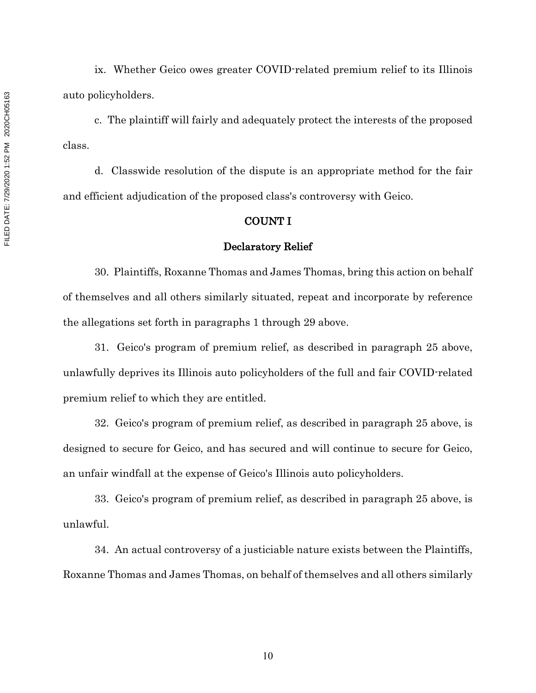ix. Whether Geico owes greater COVID-related premium relief to its Illinois auto policyholders.

c. The plaintiff will fairly and adequately protect the interests of the proposed class.

d. Classwide resolution of the dispute is an appropriate method for the fair and efficient adjudication of the proposed class's controversy with Geico.

## COUNT I

#### Declaratory Relief

30. Plaintiffs, Roxanne Thomas and James Thomas, bring this action on behalf of themselves and all others similarly situated, repeat and incorporate by reference the allegations set forth in paragraphs 1 through 29 above.

31. Geico's program of premium relief, as described in paragraph 25 above, unlawfully deprives its Illinois auto policyholders of the full and fair COVID-related premium relief to which they are entitled.

32. Geico's program of premium relief, as described in paragraph 25 above, is designed to secure for Geico, and has secured and will continue to secure for Geico, an unfair windfall at the expense of Geico's Illinois auto policyholders.

33. Geico's program of premium relief, as described in paragraph 25 above, is unlawful.

34. An actual controversy of a justiciable nature exists between the Plaintiffs, Roxanne Thomas and James Thomas, on behalf of themselves and all others similarly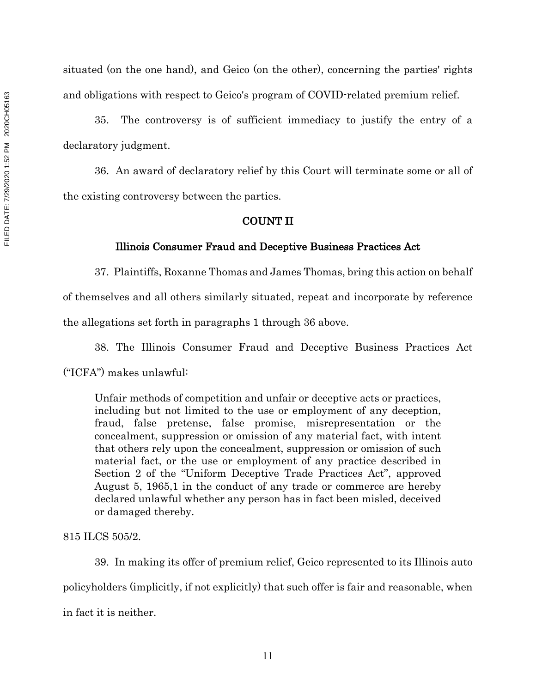situated (on the one hand), and Geico (on the other), concerning the parties' rights and obligations with respect to Geico's program of COVID-related premium relief.

35. The controversy is of sufficient immediacy to justify the entry of a declaratory judgment.

36. An award of declaratory relief by this Court will terminate some or all of the existing controversy between the parties.

## COUNT II

#### Illinois Consumer Fraud and Deceptive Business Practices Act

37. Plaintiffs, Roxanne Thomas and James Thomas, bring this action on behalf of themselves and all others similarly situated, repeat and incorporate by reference the allegations set forth in paragraphs 1 through 36 above.

38. The Illinois Consumer Fraud and Deceptive Business Practices Act ("ICFA") makes unlawful:

Unfair methods of competition and unfair or deceptive acts or practices, including but not limited to the use or employment of any deception, fraud, false pretense, false promise, misrepresentation or the concealment, suppression or omission of any material fact, with intent that others rely upon the concealment, suppression or omission of such material fact, or the use or employment of any practice described in Section 2 of the "Uniform Deceptive Trade Practices Act", approved August 5, 1965,1 in the conduct of any trade or commerce are hereby declared unlawful whether any person has in fact been misled, deceived or damaged thereby.

### 815 ILCS 505/2.

39. In making its offer of premium relief, Geico represented to its Illinois auto policyholders (implicitly, if not explicitly) that such offer is fair and reasonable, when in fact it is neither.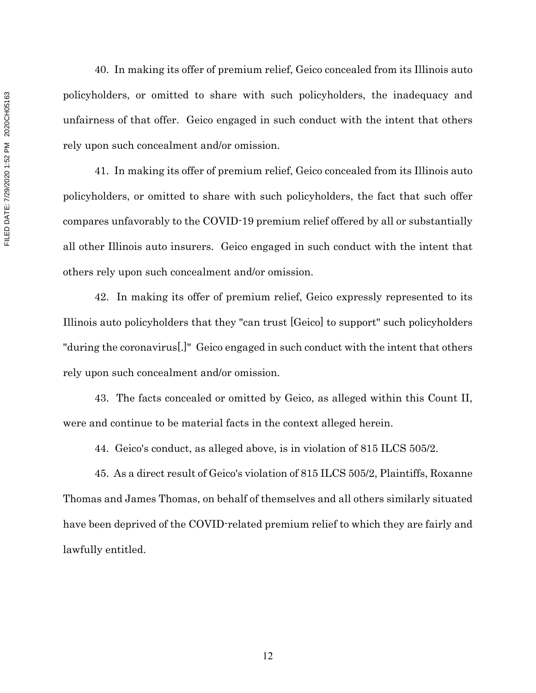40. In making its offer of premium relief, Geico concealed from its Illinois auto policyholders, or omitted to share with such policyholders, the inadequacy and unfairness of that offer. Geico engaged in such conduct with the intent that others rely upon such concealment and/or omission.

41. In making its offer of premium relief, Geico concealed from its Illinois auto policyholders, or omitted to share with such policyholders, the fact that such offer compares unfavorably to the COVID-19 premium relief offered by all or substantially all other Illinois auto insurers. Geico engaged in such conduct with the intent that others rely upon such concealment and/or omission.

42. In making its offer of premium relief, Geico expressly represented to its Illinois auto policyholders that they "can trust [Geico] to support" such policyholders "during the coronavirus[.]" Geico engaged in such conduct with the intent that others rely upon such concealment and/or omission.

43. The facts concealed or omitted by Geico, as alleged within this Count II, were and continue to be material facts in the context alleged herein.

44. Geico's conduct, as alleged above, is in violation of 815 ILCS 505/2.

45. As a direct result of Geico's violation of 815 ILCS 505/2, Plaintiffs, Roxanne Thomas and James Thomas, on behalf of themselves and all others similarly situated have been deprived of the COVID-related premium relief to which they are fairly and lawfully entitled.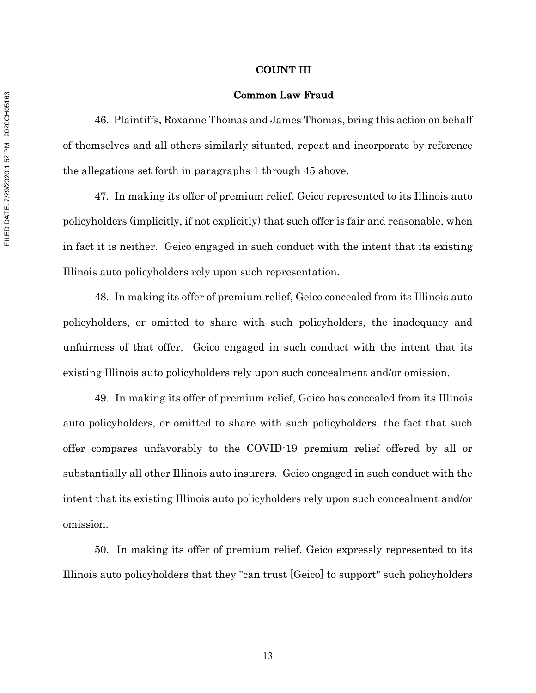### COUNT III

### Common Law Fraud

46. Plaintiffs, Roxanne Thomas and James Thomas, bring this action on behalf of themselves and all others similarly situated, repeat and incorporate by reference the allegations set forth in paragraphs 1 through 45 above.

47. In making its offer of premium relief, Geico represented to its Illinois auto policyholders (implicitly, if not explicitly) that such offer is fair and reasonable, when in fact it is neither. Geico engaged in such conduct with the intent that its existing Illinois auto policyholders rely upon such representation.

48. In making its offer of premium relief, Geico concealed from its Illinois auto policyholders, or omitted to share with such policyholders, the inadequacy and unfairness of that offer. Geico engaged in such conduct with the intent that its existing Illinois auto policyholders rely upon such concealment and/or omission.

49. In making its offer of premium relief, Geico has concealed from its Illinois auto policyholders, or omitted to share with such policyholders, the fact that such offer compares unfavorably to the COVID-19 premium relief offered by all or substantially all other Illinois auto insurers. Geico engaged in such conduct with the intent that its existing Illinois auto policyholders rely upon such concealment and/or omission.

50. In making its offer of premium relief, Geico expressly represented to its Illinois auto policyholders that they "can trust [Geico] to support" such policyholders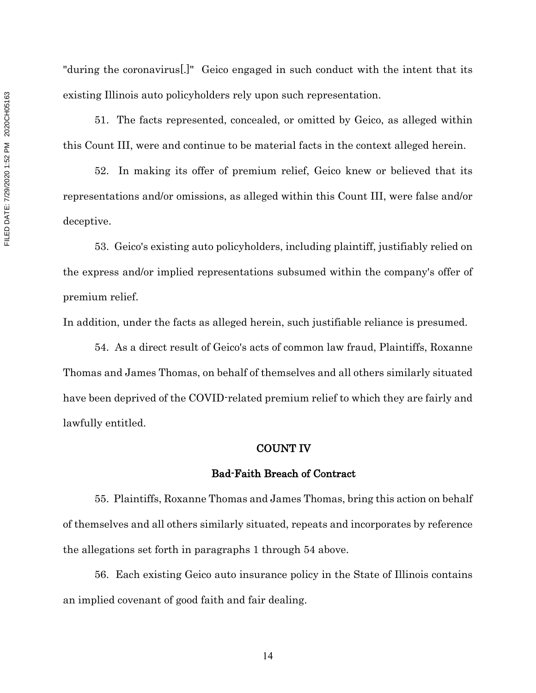"during the coronavirus[.]" Geico engaged in such conduct with the intent that its existing Illinois auto policyholders rely upon such representation.

51. The facts represented, concealed, or omitted by Geico, as alleged within this Count III, were and continue to be material facts in the context alleged herein.

52. In making its offer of premium relief, Geico knew or believed that its representations and/or omissions, as alleged within this Count III, were false and/or deceptive.

53. Geico's existing auto policyholders, including plaintiff, justifiably relied on the express and/or implied representations subsumed within the company's offer of premium relief.

In addition, under the facts as alleged herein, such justifiable reliance is presumed.

54. As a direct result of Geico's acts of common law fraud, Plaintiffs, Roxanne Thomas and James Thomas, on behalf of themselves and all others similarly situated have been deprived of the COVID-related premium relief to which they are fairly and lawfully entitled.

# COUNT IV

### Bad-Faith Breach of Contract

55. Plaintiffs, Roxanne Thomas and James Thomas, bring this action on behalf of themselves and all others similarly situated, repeats and incorporates by reference the allegations set forth in paragraphs 1 through 54 above.

56. Each existing Geico auto insurance policy in the State of Illinois contains an implied covenant of good faith and fair dealing.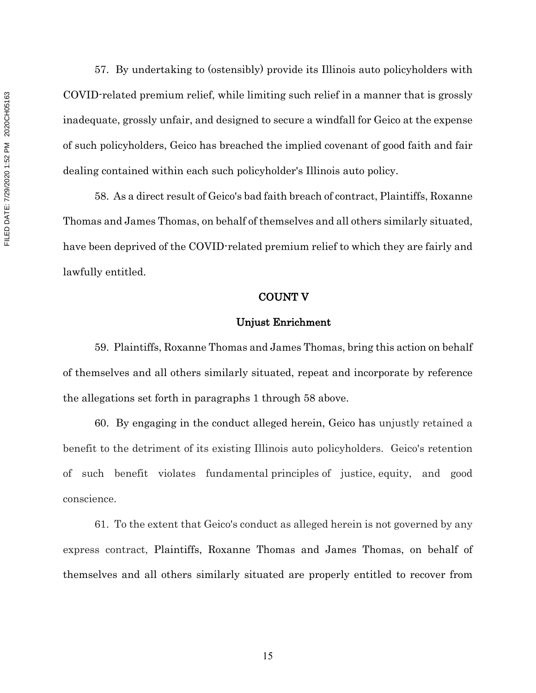FILED DATE: 7/29/2020 1:52 PM 2020CH05163 FILED DATE: 7/29/2020 1:52 PM 2020CH05163

57. By undertaking to (ostensibly) provide its Illinois auto policyholders with COVID-related premium relief, while limiting such relief in a manner that is grossly inadequate, grossly unfair, and designed to secure a windfall for Geico at the expense of such policyholders, Geico has breached the implied covenant of good faith and fair dealing contained within each such policyholder's Illinois auto policy.

58. As a direct result of Geico's bad faith breach of contract, Plaintiffs, Roxanne Thomas and James Thomas, on behalf of themselves and all others similarly situated, have been deprived of the COVID-related premium relief to which they are fairly and lawfully entitled.

### COUNT V

## Unjust Enrichment

59. Plaintiffs, Roxanne Thomas and James Thomas, bring this action on behalf of themselves and all others similarly situated, repeat and incorporate by reference the allegations set forth in paragraphs 1 through 58 above.

60. By engaging in the conduct alleged herein, Geico has unjustly retained a benefit to the detriment of its existing Illinois auto policyholders. Geico's retention of such benefit violates fundamental principles of justice, equity, and good conscience.

61. To the extent that Geico's conduct as alleged herein is not governed by any express contract, Plaintiffs, Roxanne Thomas and James Thomas, on behalf of themselves and all others similarly situated are properly entitled to recover from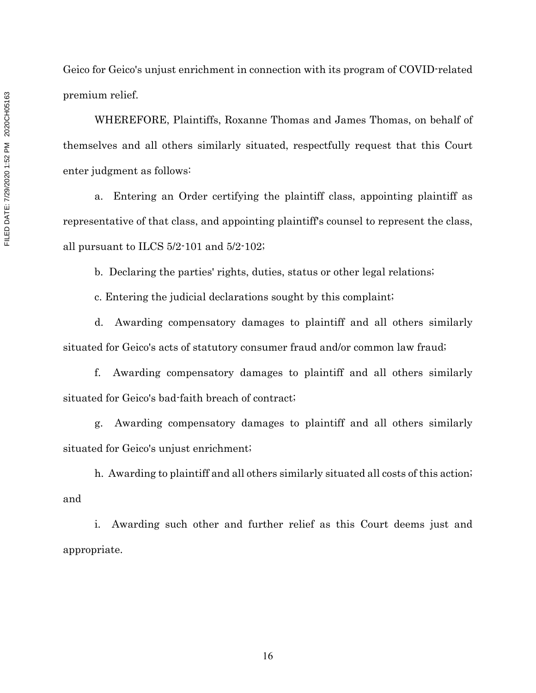Geico for Geico's unjust enrichment in connection with its program of COVID-related premium relief.

WHEREFORE, Plaintiffs, Roxanne Thomas and James Thomas, on behalf of themselves and all others similarly situated, respectfully request that this Court enter judgment as follows:

a. Entering an Order certifying the plaintiff class, appointing plaintiff as representative of that class, and appointing plaintiff's counsel to represent the class, all pursuant to ILCS 5/2-101 and 5/2-102;

b. Declaring the parties' rights, duties, status or other legal relations;

c. Entering the judicial declarations sought by this complaint;

d. Awarding compensatory damages to plaintiff and all others similarly situated for Geico's acts of statutory consumer fraud and/or common law fraud;

f. Awarding compensatory damages to plaintiff and all others similarly situated for Geico's bad-faith breach of contract;

g. Awarding compensatory damages to plaintiff and all others similarly situated for Geico's unjust enrichment;

h. Awarding to plaintiff and all others similarly situated all costs of this action; and

i. Awarding such other and further relief as this Court deems just and appropriate.